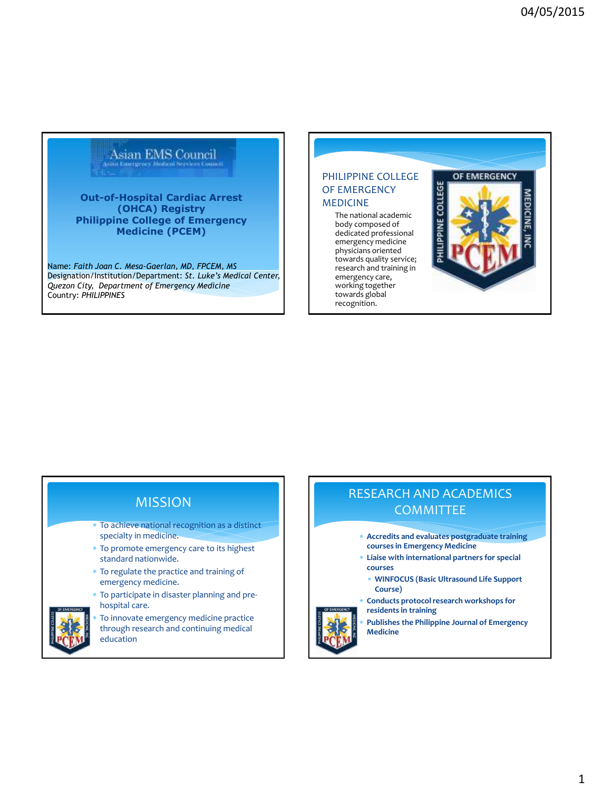# Asian EMS Council

**Out-of-Hospital Cardiac Arrest (OHCA) Registry Philippine College of Emergency Medicine (PCEM)**

Name: *Faith Joan C. Mesa-Gaerlan, MD, FPCEM, MS* Designation/Institution/Department: *St. Luke's Medical Center, Quezon City, Department of Emergency Medicine* Country: *PHILIPPINES*

### PHILIPPINE COLLEGE OF EMERGENCY MEDICINE

The national academic body composed of dedicated professional emergency medicine physicians oriented towards quality service; research and training in emergency care, working together towards global recognition.

### OF EMERGENCY



### MISSION

- To achieve national recognition as a distinct specialty in medicine.
- To promote emergency care to its highest standard nationwide.
- To regulate the practice and training of emergency medicine.
- To participate in disaster planning and prehospital care.



 To innovate emergency medicine practice through research and continuing medical education

# RESEARCH AND ACADEMICS **COMMITTEE**

- **Accredits and evaluates postgraduate training courses in Emergency Medicine**
- **Liaise with international partners for special courses** 
	- **WINFOCUS (Basic Ultrasound Life Support Course)**
	- **Conducts protocol research workshops for residents in training**
- **Publishes the Philippine Journal of Emergency Medicine**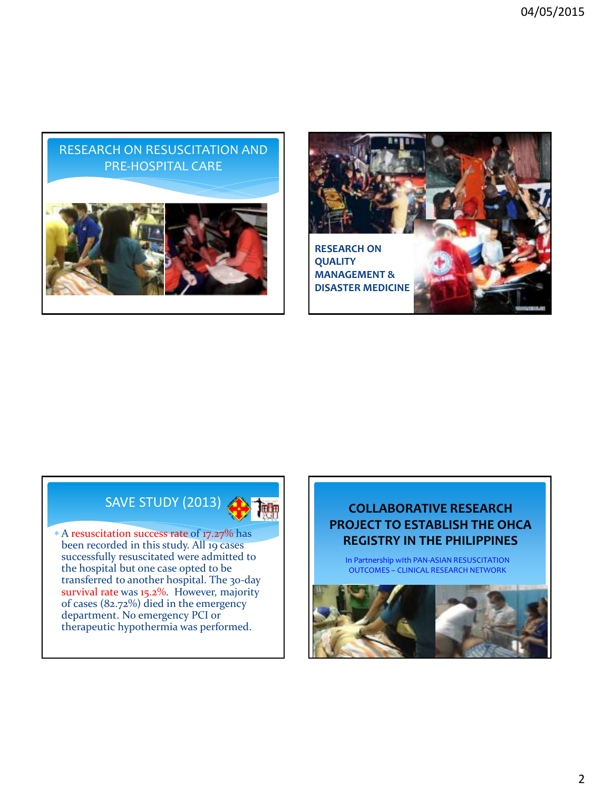



# SAVE STUDY (2013)

 A resuscitation success rate of 17.27% has been recorded in this study. All 19 cases successfully resuscitated were admitted to the hospital but one case opted to be transferred to another hospital. The 30-day survival rate was 15.2%. However, majority of cases (82.72%) died in the emergency department. No emergency PCI or therapeutic hypothermia was performed.

### **COLLABORATIVE RESEARCH PROJECT TO ESTABLISH THE OHCA REGISTRY IN THE PHILIPPINES**

In Partnership wIth PAN-ASIAN RESUSCITATION OUTCOMES – CLINICAL RESEARCH NETWORK

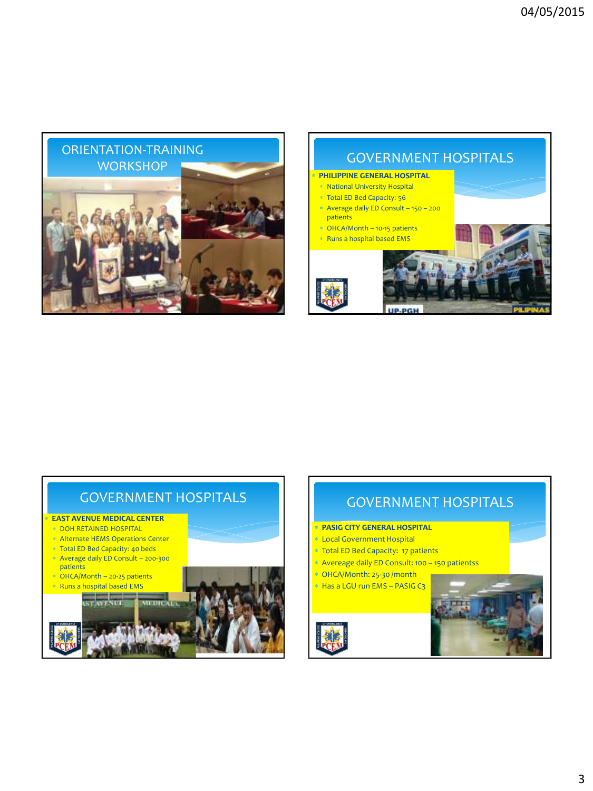



# GOVERNMENT HOSPITALS

### **EAST AVENUE MEDICAL CENTER**

- DOH RETAINED HOSPITAL
- Alternate HEMS Operations Center
- Total ED Bed Capacity: 40 beds Average daily ED Consult – 200-300
- patients OHCA/Month – 20-25 patients
- $\ast$  Runs a hospital based EMS





# GOVERNMENT HOSPITALS

- **PASIG CITY GENERAL HOSPITAL**
- Local Government Hospital
- Total ED Bed Capacity: 17 patients
- Avereage daily ED Consult: 100 150 patientss
- \* OHCA/Month: 25-30 /month
- \* Has a LGU run EMS PASIG C3

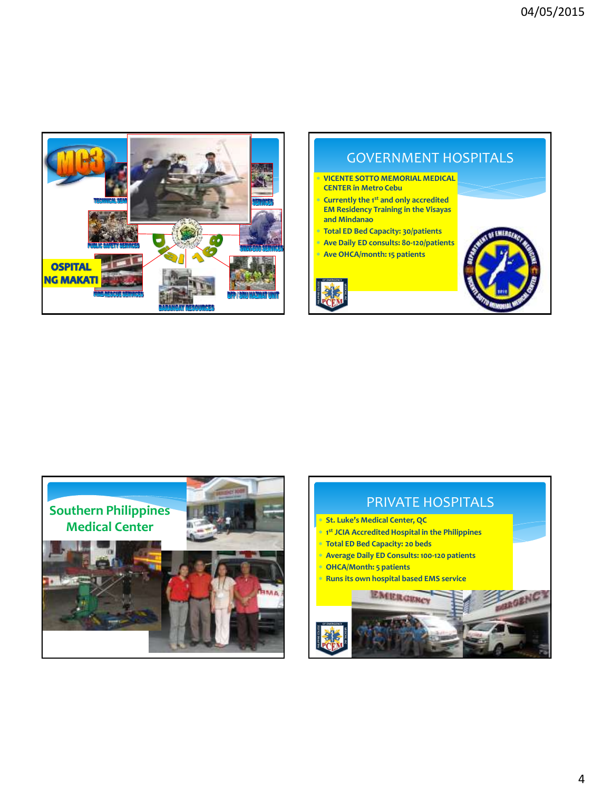

# GOVERNMENT HOSPITALS **VICENTE SOTTO MEMORIAL MEDICAL CENTER in Metro Cebu Currently the 1st and only accredited EM Residency Training in the Visayas and Mindanao Total ED Bed Capacity: 30/patients Ave Daily ED consults: 80-120/patients Ave OHCA/month: 15 patients**



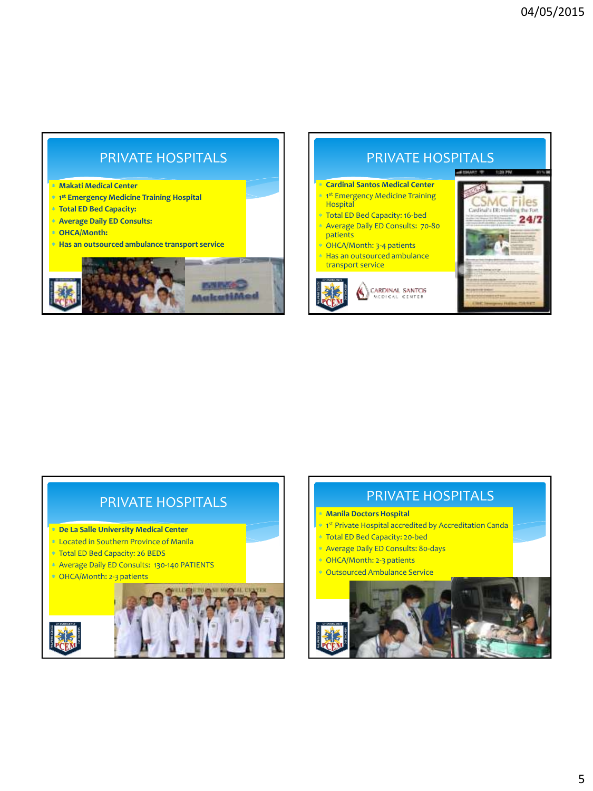# PRIVATE HOSPITALS

#### **Makati Medical Center**

- **1 st Emergency Medicine Training Hospital**
- **Total ED Bed Capacity:**
- **Average Daily ED Consults:**
- **OHCA/Month:**
- **Has an outsourced ambulance transport service**



# PRIVATE HOSPITALS

#### **Cardinal Santos Medical Center \* 1st Emergency Medicine Training**

- **Hospital**  Total ED Bed Capacity: 16-bed Average Daily ED Consults: 70-80
- patients OHCA/Month: 3-4 patients

 Has an outsourced ambulance transport service







### PRIVATE HOSPITALS

- **De La Salle University Medical Center**
- Located in Southern Province of Manila
- Total ED Bed Capacity: 26 BEDS
- Average Daily ED Consults: 130-140 PATIENTS
- OHCA/Month: 2-3 patients



## PRIVATE HOSPITALS

#### **Manila Doctors Hospital**

- **\* 1st Private Hospital accredited by Accreditation Canda**
- Total ED Bed Capacity: 20-bed
- Average Daily ED Consults: 80-days
- \* OHCA/Month: 2-3 patients

Outsourced Ambulance Service